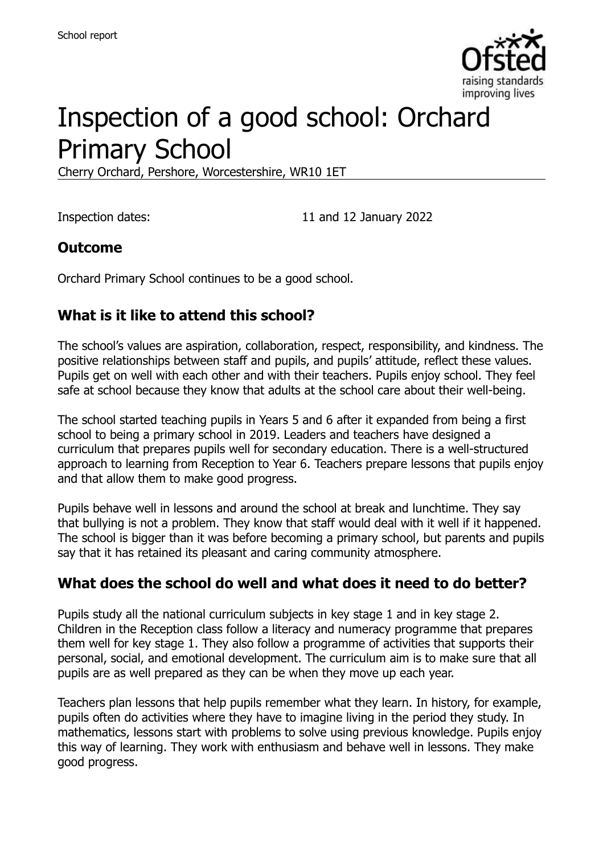

# Inspection of a good school: Orchard Primary School

Cherry Orchard, Pershore, Worcestershire, WR10 1ET

Inspection dates: 11 and 12 January 2022

#### **Outcome**

Orchard Primary School continues to be a good school.

### **What is it like to attend this school?**

The school's values are aspiration, collaboration, respect, responsibility, and kindness. The positive relationships between staff and pupils, and pupils' attitude, reflect these values. Pupils get on well with each other and with their teachers. Pupils enjoy school. They feel safe at school because they know that adults at the school care about their well-being.

The school started teaching pupils in Years 5 and 6 after it expanded from being a first school to being a primary school in 2019. Leaders and teachers have designed a curriculum that prepares pupils well for secondary education. There is a well-structured approach to learning from Reception to Year 6. Teachers prepare lessons that pupils enjoy and that allow them to make good progress.

Pupils behave well in lessons and around the school at break and lunchtime. They say that bullying is not a problem. They know that staff would deal with it well if it happened. The school is bigger than it was before becoming a primary school, but parents and pupils say that it has retained its pleasant and caring community atmosphere.

# **What does the school do well and what does it need to do better?**

Pupils study all the national curriculum subjects in key stage 1 and in key stage 2. Children in the Reception class follow a literacy and numeracy programme that prepares them well for key stage 1. They also follow a programme of activities that supports their personal, social, and emotional development. The curriculum aim is to make sure that all pupils are as well prepared as they can be when they move up each year.

Teachers plan lessons that help pupils remember what they learn. In history, for example, pupils often do activities where they have to imagine living in the period they study. In mathematics, lessons start with problems to solve using previous knowledge. Pupils enjoy this way of learning. They work with enthusiasm and behave well in lessons. They make good progress.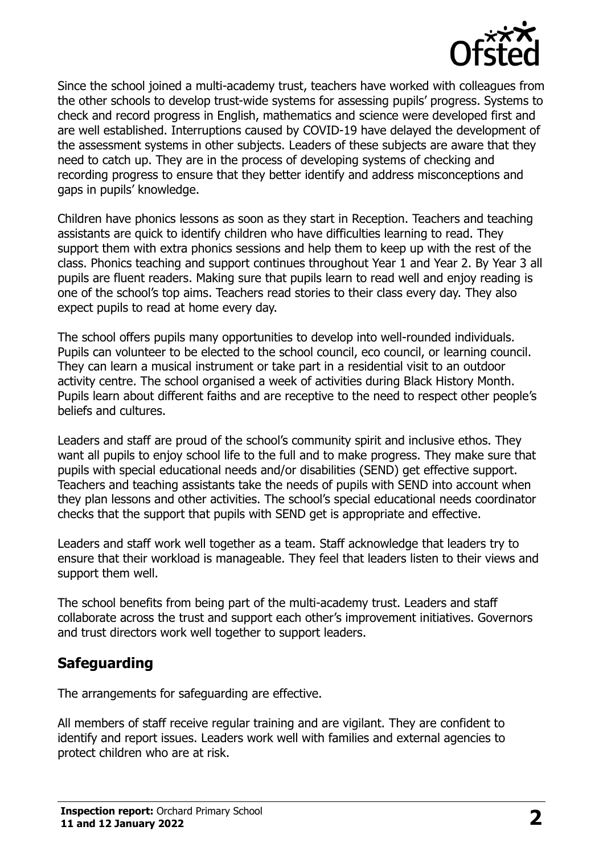

Since the school joined a multi-academy trust, teachers have worked with colleagues from the other schools to develop trust-wide systems for assessing pupils' progress. Systems to check and record progress in English, mathematics and science were developed first and are well established. Interruptions caused by COVID-19 have delayed the development of the assessment systems in other subjects. Leaders of these subjects are aware that they need to catch up. They are in the process of developing systems of checking and recording progress to ensure that they better identify and address misconceptions and gaps in pupils' knowledge.

Children have phonics lessons as soon as they start in Reception. Teachers and teaching assistants are quick to identify children who have difficulties learning to read. They support them with extra phonics sessions and help them to keep up with the rest of the class. Phonics teaching and support continues throughout Year 1 and Year 2. By Year 3 all pupils are fluent readers. Making sure that pupils learn to read well and enjoy reading is one of the school's top aims. Teachers read stories to their class every day. They also expect pupils to read at home every day.

The school offers pupils many opportunities to develop into well-rounded individuals. Pupils can volunteer to be elected to the school council, eco council, or learning council. They can learn a musical instrument or take part in a residential visit to an outdoor activity centre. The school organised a week of activities during Black History Month. Pupils learn about different faiths and are receptive to the need to respect other people's beliefs and cultures.

Leaders and staff are proud of the school's community spirit and inclusive ethos. They want all pupils to enjoy school life to the full and to make progress. They make sure that pupils with special educational needs and/or disabilities (SEND) get effective support. Teachers and teaching assistants take the needs of pupils with SEND into account when they plan lessons and other activities. The school's special educational needs coordinator checks that the support that pupils with SEND get is appropriate and effective.

Leaders and staff work well together as a team. Staff acknowledge that leaders try to ensure that their workload is manageable. They feel that leaders listen to their views and support them well.

The school benefits from being part of the multi-academy trust. Leaders and staff collaborate across the trust and support each other's improvement initiatives. Governors and trust directors work well together to support leaders.

# **Safeguarding**

The arrangements for safeguarding are effective.

All members of staff receive regular training and are vigilant. They are confident to identify and report issues. Leaders work well with families and external agencies to protect children who are at risk.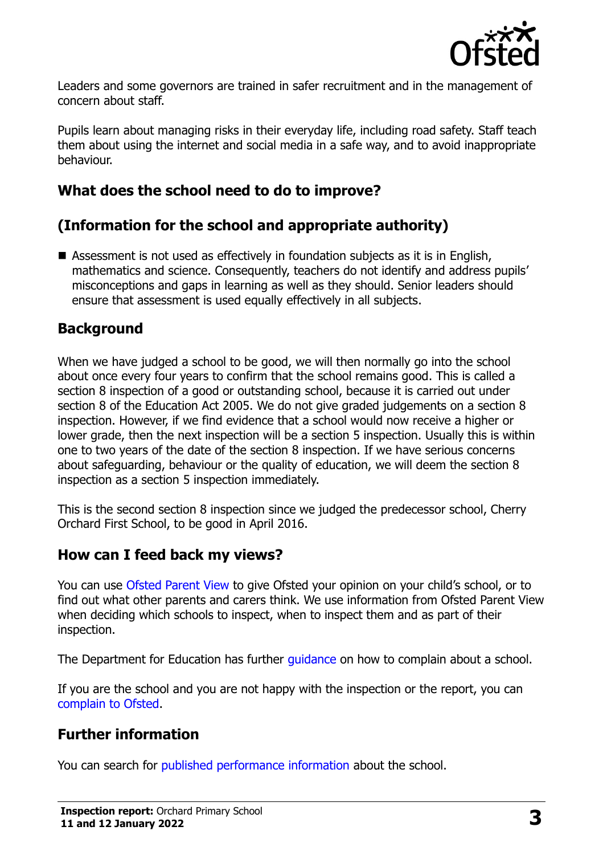

Leaders and some governors are trained in safer recruitment and in the management of concern about staff.

Pupils learn about managing risks in their everyday life, including road safety. Staff teach them about using the internet and social media in a safe way, and to avoid inappropriate behaviour.

# **What does the school need to do to improve?**

# **(Information for the school and appropriate authority)**

■ Assessment is not used as effectively in foundation subjects as it is in English, mathematics and science. Consequently, teachers do not identify and address pupils' misconceptions and gaps in learning as well as they should. Senior leaders should ensure that assessment is used equally effectively in all subjects.

### **Background**

When we have judged a school to be good, we will then normally go into the school about once every four years to confirm that the school remains good. This is called a section 8 inspection of a good or outstanding school, because it is carried out under section 8 of the Education Act 2005. We do not give graded judgements on a section 8 inspection. However, if we find evidence that a school would now receive a higher or lower grade, then the next inspection will be a section 5 inspection. Usually this is within one to two years of the date of the section 8 inspection. If we have serious concerns about safeguarding, behaviour or the quality of education, we will deem the section 8 inspection as a section 5 inspection immediately.

This is the second section 8 inspection since we judged the predecessor school, Cherry Orchard First School, to be good in April 2016.

#### **How can I feed back my views?**

You can use [Ofsted Parent View](https://parentview.ofsted.gov.uk/) to give Ofsted your opinion on your child's school, or to find out what other parents and carers think. We use information from Ofsted Parent View when deciding which schools to inspect, when to inspect them and as part of their inspection.

The Department for Education has further quidance on how to complain about a school.

If you are the school and you are not happy with the inspection or the report, you can [complain to Ofsted.](https://www.gov.uk/complain-ofsted-report)

#### **Further information**

You can search for [published performance information](http://www.compare-school-performance.service.gov.uk/) about the school.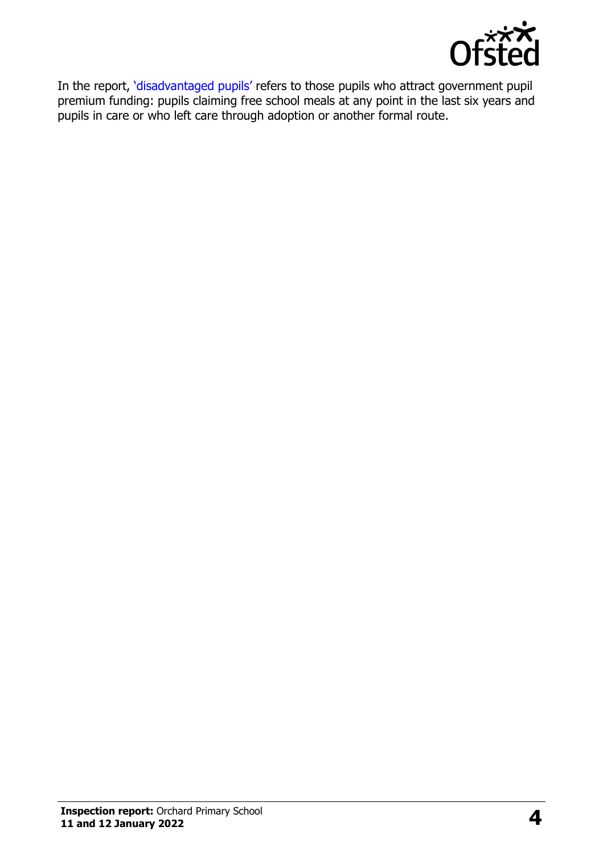

In the report, '[disadvantaged pupils](http://www.gov.uk/guidance/pupil-premium-information-for-schools-and-alternative-provision-settings)' refers to those pupils who attract government pupil premium funding: pupils claiming free school meals at any point in the last six years and pupils in care or who left care through adoption or another formal route.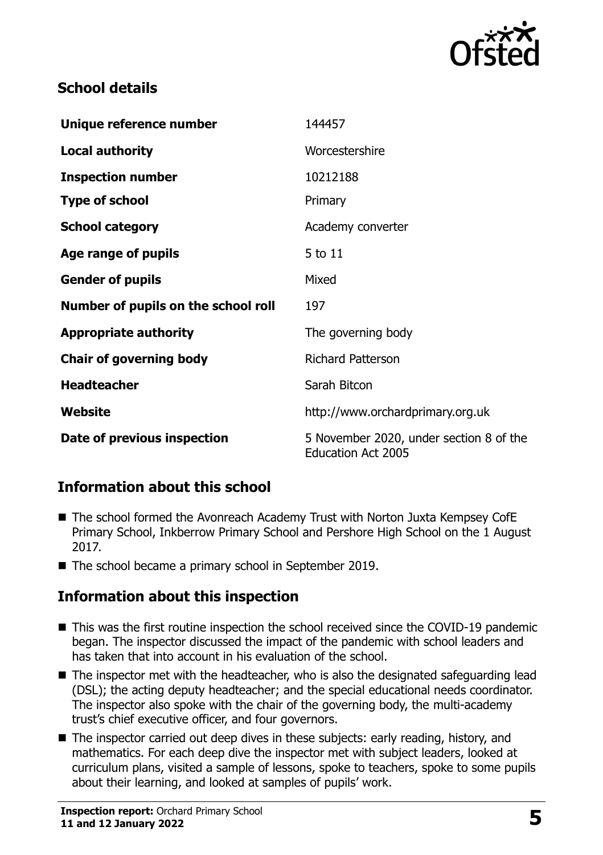

# **School details**

| Unique reference number             | 144457                                                               |
|-------------------------------------|----------------------------------------------------------------------|
| <b>Local authority</b>              | Worcestershire                                                       |
| <b>Inspection number</b>            | 10212188                                                             |
| <b>Type of school</b>               | Primary                                                              |
| <b>School category</b>              | Academy converter                                                    |
| Age range of pupils                 | 5 to 11                                                              |
| <b>Gender of pupils</b>             | Mixed                                                                |
| Number of pupils on the school roll | 197                                                                  |
| <b>Appropriate authority</b>        | The governing body                                                   |
| <b>Chair of governing body</b>      | <b>Richard Patterson</b>                                             |
| <b>Headteacher</b>                  | Sarah Bitcon                                                         |
| Website                             | http://www.orchardprimary.org.uk                                     |
| Date of previous inspection         | 5 November 2020, under section 8 of the<br><b>Education Act 2005</b> |

# **Information about this school**

- The school formed the Avonreach Academy Trust with Norton Juxta Kempsey CofE Primary School, Inkberrow Primary School and Pershore High School on the 1 August 2017.
- The school became a primary school in September 2019.

# **Information about this inspection**

- This was the first routine inspection the school received since the COVID-19 pandemic began. The inspector discussed the impact of the pandemic with school leaders and has taken that into account in his evaluation of the school.
- The inspector met with the headteacher, who is also the designated safeguarding lead (DSL); the acting deputy headteacher; and the special educational needs coordinator. The inspector also spoke with the chair of the governing body, the multi-academy trust's chief executive officer, and four governors.
- The inspector carried out deep dives in these subjects: early reading, history, and mathematics. For each deep dive the inspector met with subject leaders, looked at curriculum plans, visited a sample of lessons, spoke to teachers, spoke to some pupils about their learning, and looked at samples of pupils' work.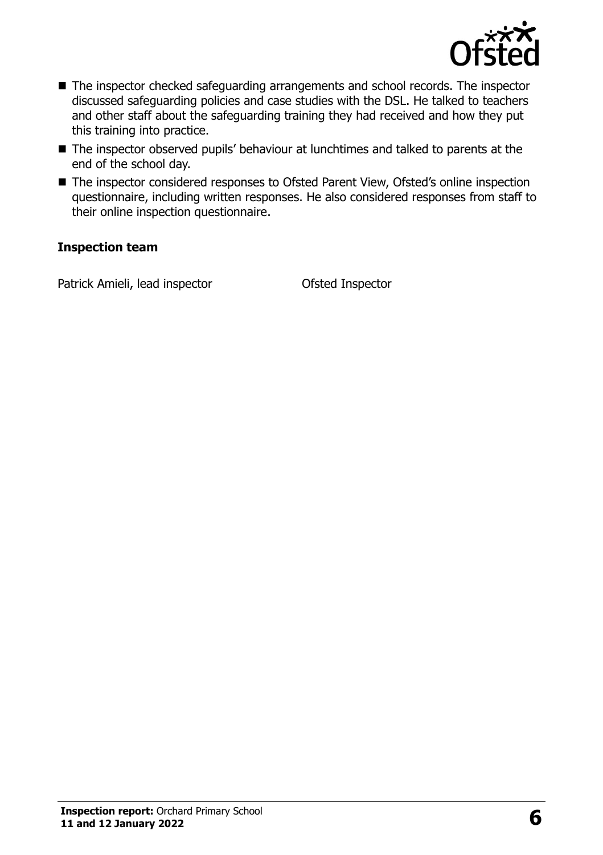

- The inspector checked safeguarding arrangements and school records. The inspector discussed safeguarding policies and case studies with the DSL. He talked to teachers and other staff about the safeguarding training they had received and how they put this training into practice.
- The inspector observed pupils' behaviour at lunchtimes and talked to parents at the end of the school day.
- The inspector considered responses to Ofsted Parent View, Ofsted's online inspection questionnaire, including written responses. He also considered responses from staff to their online inspection questionnaire.

#### **Inspection team**

Patrick Amieli, lead inspector **Ofsted Inspector**